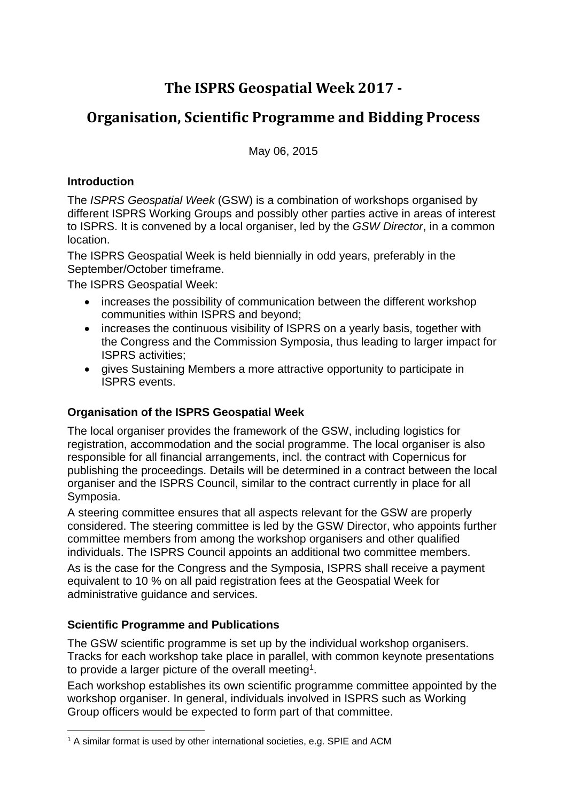# **The ISPRS Geospatial Week 2017 -**

## **Organisation, Scientific Programme and Bidding Process**

May 06, 2015

#### **Introduction**

The *ISPRS Geospatial Week* (GSW) is a combination of workshops organised by different ISPRS Working Groups and possibly other parties active in areas of interest to ISPRS. It is convened by a local organiser, led by the *GSW Director*, in a common location.

The ISPRS Geospatial Week is held biennially in odd years, preferably in the September/October timeframe.

The ISPRS Geospatial Week:

- increases the possibility of communication between the different workshop communities within ISPRS and beyond;
- increases the continuous visibility of ISPRS on a vearly basis, together with the Congress and the Commission Symposia, thus leading to larger impact for ISPRS activities;
- gives Sustaining Members a more attractive opportunity to participate in ISPRS events.

### **Organisation of the ISPRS Geospatial Week**

The local organiser provides the framework of the GSW, including logistics for registration, accommodation and the social programme. The local organiser is also responsible for all financial arrangements, incl. the contract with Copernicus for publishing the proceedings. Details will be determined in a contract between the local organiser and the ISPRS Council, similar to the contract currently in place for all Symposia.

A steering committee ensures that all aspects relevant for the GSW are properly considered. The steering committee is led by the GSW Director, who appoints further committee members from among the workshop organisers and other qualified individuals. The ISPRS Council appoints an additional two committee members.

As is the case for the Congress and the Symposia, ISPRS shall receive a payment equivalent to 10 % on all paid registration fees at the Geospatial Week for administrative guidance and services.

### **Scientific Programme and Publications**

The GSW scientific programme is set up by the individual workshop organisers. Tracks for each workshop take place in parallel, with common keynote presentations to provide a larger picture of the overall meeting1.

Each workshop establishes its own scientific programme committee appointed by the workshop organiser. In general, individuals involved in ISPRS such as Working Group officers would be expected to form part of that committee.

<sup>1</sup> <sup>1</sup> A similar format is used by other international societies, e.g. SPIE and ACM